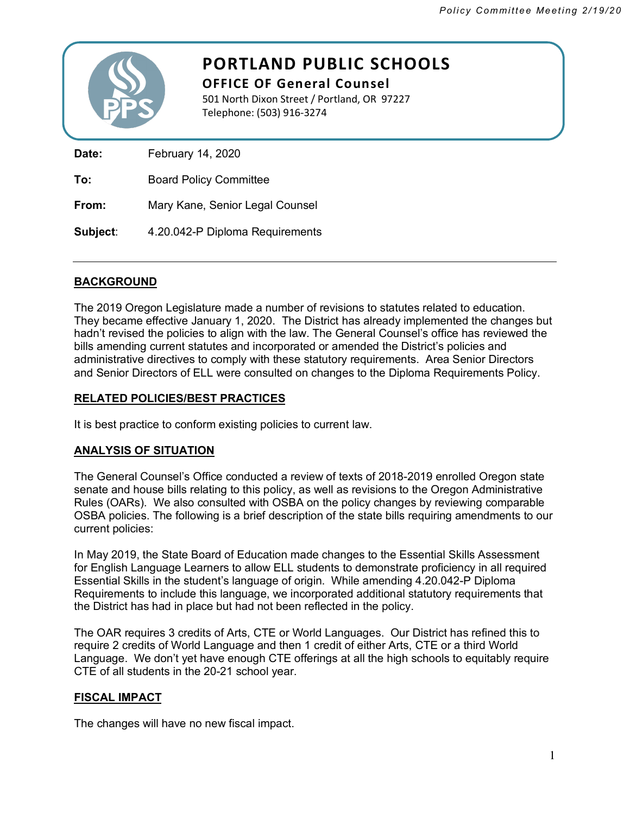

# **PORTLAND PUBLIC SCHOOLS**

**OFFICE OF General Counsel** 501 North Dixon Street / Portland, OR 97227 Telephone: (503) 916-3274

**Date:** February 14, 2020 **To:** Board Policy Committee

**From:** Mary Kane, Senior Legal Counsel

**Subject**: 4.20.042-P Diploma Requirements

## **BACKGROUND**

The 2019 Oregon Legislature made a number of revisions to statutes related to education. They became effective January 1, 2020. The District has already implemented the changes but hadn't revised the policies to align with the law. The General Counsel's office has reviewed the bills amending current statutes and incorporated or amended the District's policies and administrative directives to comply with these statutory requirements. Area Senior Directors and Senior Directors of ELL were consulted on changes to the Diploma Requirements Policy.

## **RELATED POLICIES/BEST PRACTICES**

It is best practice to conform existing policies to current law.

### **ANALYSIS OF SITUATION**

The General Counsel's Office conducted a review of texts of 2018-2019 enrolled Oregon state senate and house bills relating to this policy, as well as revisions to the Oregon Administrative Rules (OARs). We also consulted with OSBA on the policy changes by reviewing comparable OSBA policies. The following is a brief description of the state bills requiring amendments to our current policies:

In May 2019, the State Board of Education made changes to the Essential Skills Assessment for English Language Learners to allow ELL students to demonstrate proficiency in all required Essential Skills in the student's language of origin. While amending 4.20.042-P Diploma Requirements to include this language, we incorporated additional statutory requirements that the District has had in place but had not been reflected in the policy.

The OAR requires 3 credits of Arts, CTE or World Languages. Our District has refined this to require 2 credits of World Language and then 1 credit of either Arts, CTE or a third World Language. We don't yet have enough CTE offerings at all the high schools to equitably require CTE of all students in the 20-21 school year.

### **FISCAL IMPACT**

The changes will have no new fiscal impact.